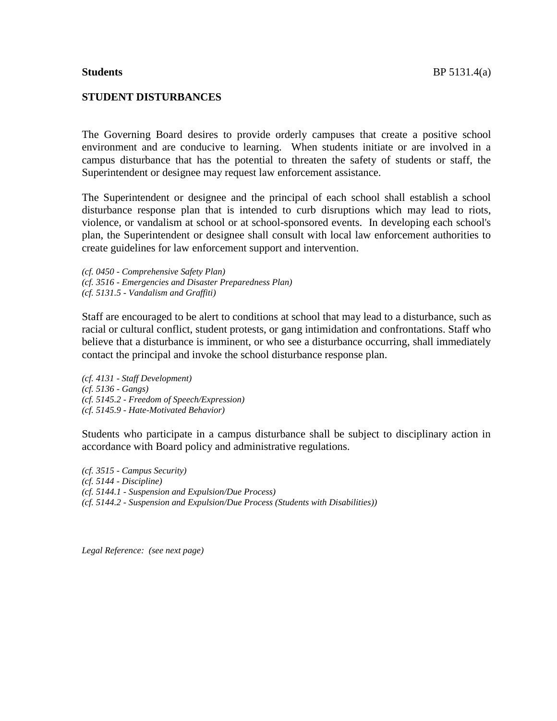### **STUDENT DISTURBANCES**

The Governing Board desires to provide orderly campuses that create a positive school environment and are conducive to learning. When students initiate or are involved in a campus disturbance that has the potential to threaten the safety of students or staff, the Superintendent or designee may request law enforcement assistance.

The Superintendent or designee and the principal of each school shall establish a school disturbance response plan that is intended to curb disruptions which may lead to riots, violence, or vandalism at school or at school-sponsored events. In developing each school's plan, the Superintendent or designee shall consult with local law enforcement authorities to create guidelines for law enforcement support and intervention.

*(cf. 0450 - Comprehensive Safety Plan) (cf. 3516 - Emergencies and Disaster Preparedness Plan) (cf. 5131.5 - Vandalism and Graffiti)*

Staff are encouraged to be alert to conditions at school that may lead to a disturbance, such as racial or cultural conflict, student protests, or gang intimidation and confrontations. Staff who believe that a disturbance is imminent, or who see a disturbance occurring, shall immediately contact the principal and invoke the school disturbance response plan.

*(cf. 4131 - Staff Development) (cf. 5136 - Gangs) (cf. 5145.2 - Freedom of Speech/Expression) (cf. 5145.9 - Hate-Motivated Behavior)*

Students who participate in a campus disturbance shall be subject to disciplinary action in accordance with Board policy and administrative regulations.

*(cf. 3515 - Campus Security) (cf. 5144 - Discipline) (cf. 5144.1 - Suspension and Expulsion/Due Process) (cf. 5144.2 - Suspension and Expulsion/Due Process (Students with Disabilities))*

*Legal Reference: (see next page)*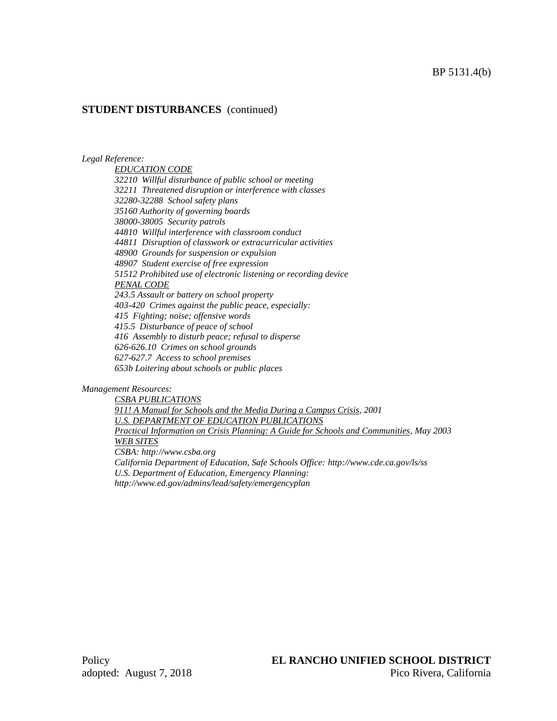### **STUDENT DISTURBANCES** (continued)

### *Legal Reference:*

*EDUCATION CODE 32210 Willful disturbance of public school or meeting 32211 Threatened disruption or interference with classes 32280-32288 School safety plans 35160 Authority of governing boards 38000-38005 Security patrols 44810 Willful interference with classroom conduct 44811 Disruption of classwork or extracurricular activities 48900 Grounds for suspension or expulsion 48907 Student exercise of free expression 51512 Prohibited use of electronic listening or recording device PENAL CODE 243.5 Assault or battery on school property 403-420 Crimes against the public peace, especially: 415 Fighting; noise; offensive words 415.5 Disturbance of peace of school 416 Assembly to disturb peace; refusal to disperse 626-626.10 Crimes on school grounds 627-627.7 Access to school premises 653b Loitering about schools or public places*

*Management Resources:*

*CSBA PUBLICATIONS 911! A Manual for Schools and the Media During a Campus Crisis, 2001 U.S. DEPARTMENT OF EDUCATION PUBLICATIONS Practical Information on Crisis Planning: A Guide for Schools and Communities, May 2003 WEB SITES CSBA: http://www.csba.org California Department of Education, Safe Schools Office: http://www.cde.ca.gov/ls/ss U.S. Department of Education, Emergency Planning: http://www.ed.gov/admins/lead/safety/emergencyplan*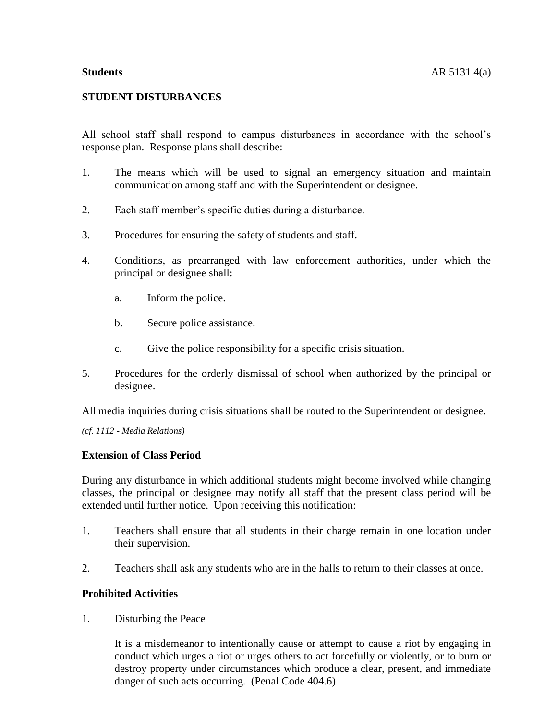## **STUDENT DISTURBANCES**

All school staff shall respond to campus disturbances in accordance with the school's response plan. Response plans shall describe:

- 1. The means which will be used to signal an emergency situation and maintain communication among staff and with the Superintendent or designee.
- 2. Each staff member's specific duties during a disturbance.
- 3. Procedures for ensuring the safety of students and staff.
- 4. Conditions, as prearranged with law enforcement authorities, under which the principal or designee shall:
	- a. Inform the police.
	- b. Secure police assistance.
	- c. Give the police responsibility for a specific crisis situation.
- 5. Procedures for the orderly dismissal of school when authorized by the principal or designee.

All media inquiries during crisis situations shall be routed to the Superintendent or designee.

*(cf. 1112 - Media Relations)*

## **Extension of Class Period**

During any disturbance in which additional students might become involved while changing classes, the principal or designee may notify all staff that the present class period will be extended until further notice. Upon receiving this notification:

- 1. Teachers shall ensure that all students in their charge remain in one location under their supervision.
- 2. Teachers shall ask any students who are in the halls to return to their classes at once.

### **Prohibited Activities**

1. Disturbing the Peace

It is a misdemeanor to intentionally cause or attempt to cause a riot by engaging in conduct which urges a riot or urges others to act forcefully or violently, or to burn or destroy property under circumstances which produce a clear, present, and immediate danger of such acts occurring. (Penal Code 404.6)